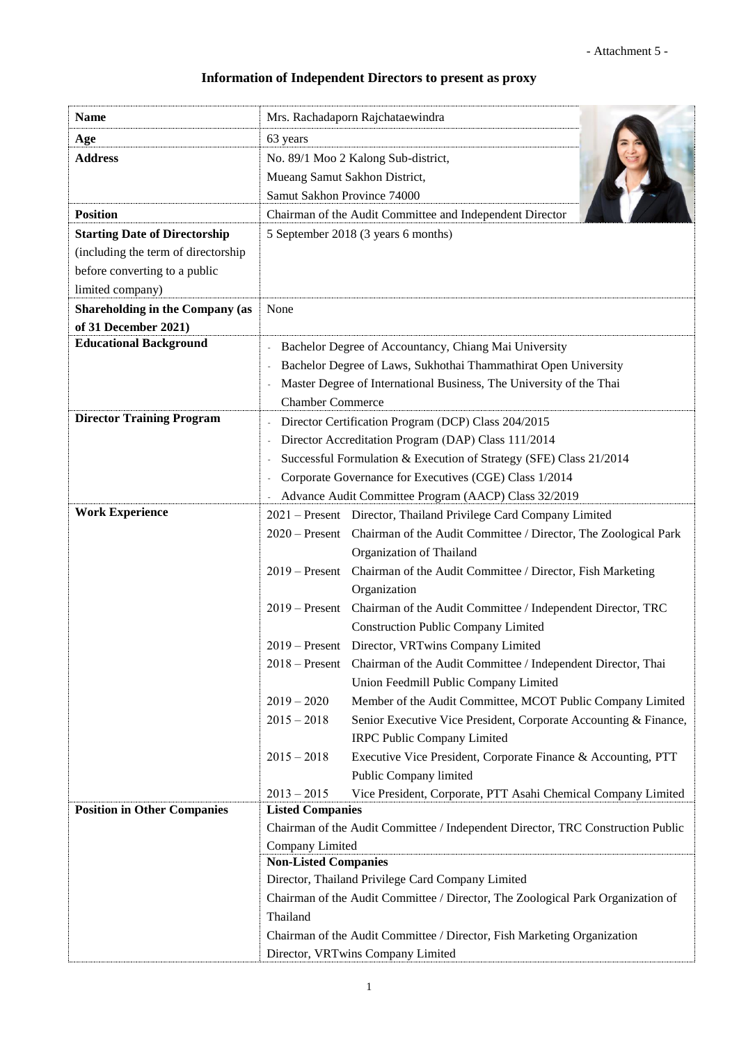## **Information of Independent Directors to present as proxy**

| <b>Name</b>                            | Mrs. Rachadaporn Rajchataewindra                                                                           |  |  |
|----------------------------------------|------------------------------------------------------------------------------------------------------------|--|--|
| Age                                    | 63 years                                                                                                   |  |  |
| <b>Address</b>                         | No. 89/1 Moo 2 Kalong Sub-district,                                                                        |  |  |
|                                        | Mueang Samut Sakhon District,                                                                              |  |  |
|                                        | Samut Sakhon Province 74000                                                                                |  |  |
| <b>Position</b>                        | Chairman of the Audit Committee and Independent Director                                                   |  |  |
| <b>Starting Date of Directorship</b>   | 5 September 2018 (3 years 6 months)                                                                        |  |  |
| (including the term of directorship    |                                                                                                            |  |  |
| before converting to a public          |                                                                                                            |  |  |
| limited company)                       |                                                                                                            |  |  |
| <b>Shareholding in the Company (as</b> | None                                                                                                       |  |  |
| of 31 December 2021)                   |                                                                                                            |  |  |
| <b>Educational Background</b>          | Bachelor Degree of Accountancy, Chiang Mai University                                                      |  |  |
|                                        | Bachelor Degree of Laws, Sukhothai Thammathirat Open University                                            |  |  |
|                                        | Master Degree of International Business, The University of the Thai                                        |  |  |
|                                        | <b>Chamber Commerce</b>                                                                                    |  |  |
| <b>Director Training Program</b>       | Director Certification Program (DCP) Class 204/2015                                                        |  |  |
|                                        | Director Accreditation Program (DAP) Class 111/2014                                                        |  |  |
|                                        | Successful Formulation & Execution of Strategy (SFE) Class 21/2014                                         |  |  |
|                                        | Corporate Governance for Executives (CGE) Class 1/2014                                                     |  |  |
| <b>Work Experience</b>                 | Advance Audit Committee Program (AACP) Class 32/2019                                                       |  |  |
|                                        | 2021 – Present Director, Thailand Privilege Card Company Limited                                           |  |  |
|                                        | 2020 – Present Chairman of the Audit Committee / Director, The Zoological Park                             |  |  |
|                                        | Organization of Thailand<br>Chairman of the Audit Committee / Director, Fish Marketing<br>$2019$ – Present |  |  |
|                                        | Organization                                                                                               |  |  |
|                                        | Chairman of the Audit Committee / Independent Director, TRC<br>$2019$ – Present                            |  |  |
|                                        | <b>Construction Public Company Limited</b>                                                                 |  |  |
|                                        | 2019 - Present Director, VRTwins Company Limited                                                           |  |  |
|                                        | 2018 – Present Chairman of the Audit Committee / Independent Director, Thai                                |  |  |
|                                        | Union Feedmill Public Company Limited                                                                      |  |  |
|                                        | $2019 - 2020$<br>Member of the Audit Committee, MCOT Public Company Limited                                |  |  |
|                                        | $2015 - 2018$<br>Senior Executive Vice President, Corporate Accounting & Finance,                          |  |  |
|                                        | <b>IRPC Public Company Limited</b>                                                                         |  |  |
|                                        | $2015 - 2018$<br>Executive Vice President, Corporate Finance & Accounting, PTT                             |  |  |
|                                        | Public Company limited                                                                                     |  |  |
|                                        | $2013 - 2015$<br>Vice President, Corporate, PTT Asahi Chemical Company Limited                             |  |  |
| <b>Position in Other Companies</b>     | <b>Listed Companies</b>                                                                                    |  |  |
|                                        | Chairman of the Audit Committee / Independent Director, TRC Construction Public                            |  |  |
|                                        | Company Limited<br><b>Non-Listed Companies</b>                                                             |  |  |
|                                        | Director, Thailand Privilege Card Company Limited                                                          |  |  |
|                                        | Chairman of the Audit Committee / Director, The Zoological Park Organization of                            |  |  |
|                                        | Thailand                                                                                                   |  |  |
|                                        | Chairman of the Audit Committee / Director, Fish Marketing Organization                                    |  |  |
|                                        | Director, VRTwins Company Limited                                                                          |  |  |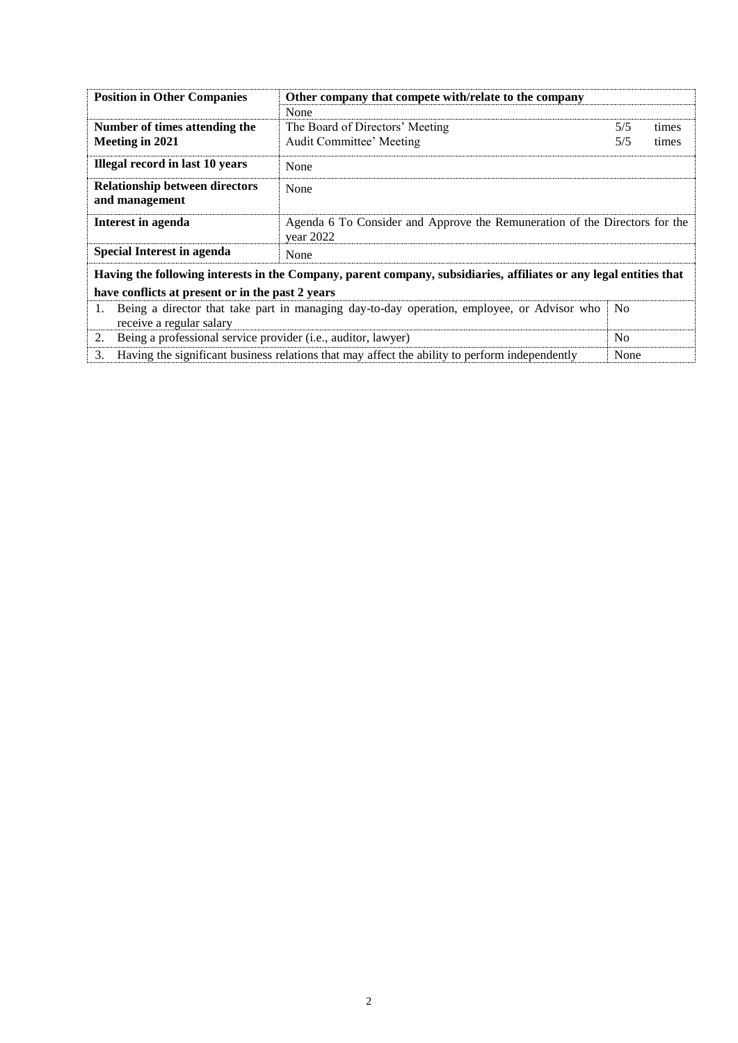| <b>Position in Other Companies</b>                                                    | Other company that compete with/relate to the company                                                              |                |       |
|---------------------------------------------------------------------------------------|--------------------------------------------------------------------------------------------------------------------|----------------|-------|
|                                                                                       | None                                                                                                               |                |       |
| Number of times attending the                                                         | The Board of Directors' Meeting                                                                                    |                | times |
| Meeting in 2021                                                                       | Audit Committee' Meeting<br>5/5<br>times                                                                           |                |       |
| Illegal record in last 10 years                                                       | None                                                                                                               |                |       |
| <b>Relationship between directors</b><br>and management                               | None                                                                                                               |                |       |
| Interest in agenda                                                                    | Agenda 6 To Consider and Approve the Remuneration of the Directors for the<br>year 2022                            |                |       |
| <b>Special Interest in agenda</b>                                                     | None                                                                                                               |                |       |
|                                                                                       | Having the following interests in the Company, parent company, subsidiaries, affiliates or any legal entities that |                |       |
| have conflicts at present or in the past 2 years                                      |                                                                                                                    |                |       |
| 1.<br>receive a regular salary                                                        | Being a director that take part in managing day-to-day operation, employee, or Advisor who                         | N <sub>o</sub> |       |
| Being a professional service provider (i.e., auditor, lawyer)<br>N <sub>0</sub><br>2. |                                                                                                                    |                |       |
| 3.                                                                                    | Having the significant business relations that may affect the ability to perform independently                     | None           |       |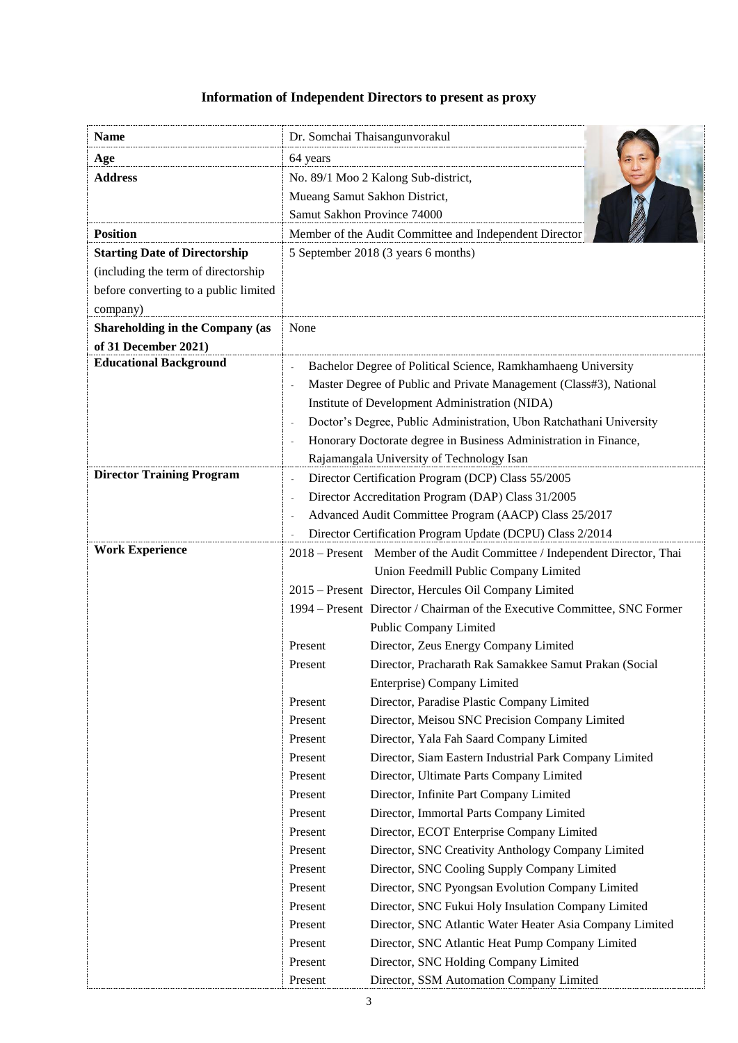## **Information of Independent Directors to present as proxy**

| Dr. Somchai Thaisangunvorakul<br>64 years<br>No. 89/1 Moo 2 Kalong Sub-district,<br>Mueang Samut Sakhon District,<br>Samut Sakhon Province 74000<br>Member of the Audit Committee and Independent Director<br>5 September 2018 (3 years 6 months)<br>None<br><b>Educational Background</b><br>Bachelor Degree of Political Science, Ramkhamhaeng University<br>Master Degree of Public and Private Management (Class#3), National<br>Institute of Development Administration (NIDA)<br>Doctor's Degree, Public Administration, Ubon Ratchathani University<br>Honorary Doctorate degree in Business Administration in Finance, |                                        |  |
|--------------------------------------------------------------------------------------------------------------------------------------------------------------------------------------------------------------------------------------------------------------------------------------------------------------------------------------------------------------------------------------------------------------------------------------------------------------------------------------------------------------------------------------------------------------------------------------------------------------------------------|----------------------------------------|--|
|                                                                                                                                                                                                                                                                                                                                                                                                                                                                                                                                                                                                                                | <b>Name</b>                            |  |
|                                                                                                                                                                                                                                                                                                                                                                                                                                                                                                                                                                                                                                | Age                                    |  |
|                                                                                                                                                                                                                                                                                                                                                                                                                                                                                                                                                                                                                                | <b>Address</b>                         |  |
|                                                                                                                                                                                                                                                                                                                                                                                                                                                                                                                                                                                                                                |                                        |  |
|                                                                                                                                                                                                                                                                                                                                                                                                                                                                                                                                                                                                                                |                                        |  |
|                                                                                                                                                                                                                                                                                                                                                                                                                                                                                                                                                                                                                                | <b>Position</b>                        |  |
|                                                                                                                                                                                                                                                                                                                                                                                                                                                                                                                                                                                                                                | <b>Starting Date of Directorship</b>   |  |
|                                                                                                                                                                                                                                                                                                                                                                                                                                                                                                                                                                                                                                | (including the term of directorship    |  |
|                                                                                                                                                                                                                                                                                                                                                                                                                                                                                                                                                                                                                                | before converting to a public limited  |  |
|                                                                                                                                                                                                                                                                                                                                                                                                                                                                                                                                                                                                                                | company)                               |  |
|                                                                                                                                                                                                                                                                                                                                                                                                                                                                                                                                                                                                                                | <b>Shareholding in the Company (as</b> |  |
|                                                                                                                                                                                                                                                                                                                                                                                                                                                                                                                                                                                                                                | of 31 December 2021)                   |  |
|                                                                                                                                                                                                                                                                                                                                                                                                                                                                                                                                                                                                                                |                                        |  |
|                                                                                                                                                                                                                                                                                                                                                                                                                                                                                                                                                                                                                                |                                        |  |
|                                                                                                                                                                                                                                                                                                                                                                                                                                                                                                                                                                                                                                |                                        |  |
|                                                                                                                                                                                                                                                                                                                                                                                                                                                                                                                                                                                                                                |                                        |  |
|                                                                                                                                                                                                                                                                                                                                                                                                                                                                                                                                                                                                                                |                                        |  |
| Rajamangala University of Technology Isan                                                                                                                                                                                                                                                                                                                                                                                                                                                                                                                                                                                      |                                        |  |
| Director Certification Program (DCP) Class 55/2005<br>÷,                                                                                                                                                                                                                                                                                                                                                                                                                                                                                                                                                                       | <b>Director Training Program</b>       |  |
| Director Accreditation Program (DAP) Class 31/2005                                                                                                                                                                                                                                                                                                                                                                                                                                                                                                                                                                             |                                        |  |
| Advanced Audit Committee Program (AACP) Class 25/2017                                                                                                                                                                                                                                                                                                                                                                                                                                                                                                                                                                          |                                        |  |
| Director Certification Program Update (DCPU) Class 2/2014                                                                                                                                                                                                                                                                                                                                                                                                                                                                                                                                                                      |                                        |  |
| 2018 – Present Member of the Audit Committee / Independent Director, Thai                                                                                                                                                                                                                                                                                                                                                                                                                                                                                                                                                      | <b>Work Experience</b>                 |  |
| Union Feedmill Public Company Limited                                                                                                                                                                                                                                                                                                                                                                                                                                                                                                                                                                                          |                                        |  |
| 2015 – Present Director, Hercules Oil Company Limited                                                                                                                                                                                                                                                                                                                                                                                                                                                                                                                                                                          |                                        |  |
| 1994 – Present Director / Chairman of the Executive Committee, SNC Former                                                                                                                                                                                                                                                                                                                                                                                                                                                                                                                                                      |                                        |  |
| Public Company Limited                                                                                                                                                                                                                                                                                                                                                                                                                                                                                                                                                                                                         |                                        |  |
| Director, Zeus Energy Company Limited<br>Present                                                                                                                                                                                                                                                                                                                                                                                                                                                                                                                                                                               |                                        |  |
| Director, Pracharath Rak Samakkee Samut Prakan (Social<br>Present                                                                                                                                                                                                                                                                                                                                                                                                                                                                                                                                                              |                                        |  |
| Enterprise) Company Limited                                                                                                                                                                                                                                                                                                                                                                                                                                                                                                                                                                                                    |                                        |  |
| Director, Paradise Plastic Company Limited<br>Present                                                                                                                                                                                                                                                                                                                                                                                                                                                                                                                                                                          |                                        |  |
| Director, Meisou SNC Precision Company Limited<br>Present<br>Present<br>Director, Yala Fah Saard Company Limited                                                                                                                                                                                                                                                                                                                                                                                                                                                                                                               |                                        |  |
| Present<br>Director, Siam Eastern Industrial Park Company Limited                                                                                                                                                                                                                                                                                                                                                                                                                                                                                                                                                              |                                        |  |
| Director, Ultimate Parts Company Limited<br>Present                                                                                                                                                                                                                                                                                                                                                                                                                                                                                                                                                                            |                                        |  |
| Present<br>Director, Infinite Part Company Limited                                                                                                                                                                                                                                                                                                                                                                                                                                                                                                                                                                             |                                        |  |
| Director, Immortal Parts Company Limited<br>Present                                                                                                                                                                                                                                                                                                                                                                                                                                                                                                                                                                            |                                        |  |
| Present<br>Director, ECOT Enterprise Company Limited                                                                                                                                                                                                                                                                                                                                                                                                                                                                                                                                                                           |                                        |  |
| Present<br>Director, SNC Creativity Anthology Company Limited                                                                                                                                                                                                                                                                                                                                                                                                                                                                                                                                                                  |                                        |  |
| Present<br>Director, SNC Cooling Supply Company Limited                                                                                                                                                                                                                                                                                                                                                                                                                                                                                                                                                                        |                                        |  |
| Director, SNC Pyongsan Evolution Company Limited<br>Present                                                                                                                                                                                                                                                                                                                                                                                                                                                                                                                                                                    |                                        |  |
| Director, SNC Fukui Holy Insulation Company Limited<br>Present                                                                                                                                                                                                                                                                                                                                                                                                                                                                                                                                                                 |                                        |  |
| Director, SNC Atlantic Water Heater Asia Company Limited<br>Present                                                                                                                                                                                                                                                                                                                                                                                                                                                                                                                                                            |                                        |  |
| Present<br>Director, SNC Atlantic Heat Pump Company Limited                                                                                                                                                                                                                                                                                                                                                                                                                                                                                                                                                                    |                                        |  |
| Director, SNC Holding Company Limited<br>Present                                                                                                                                                                                                                                                                                                                                                                                                                                                                                                                                                                               |                                        |  |
| Director, SSM Automation Company Limited<br>Present                                                                                                                                                                                                                                                                                                                                                                                                                                                                                                                                                                            |                                        |  |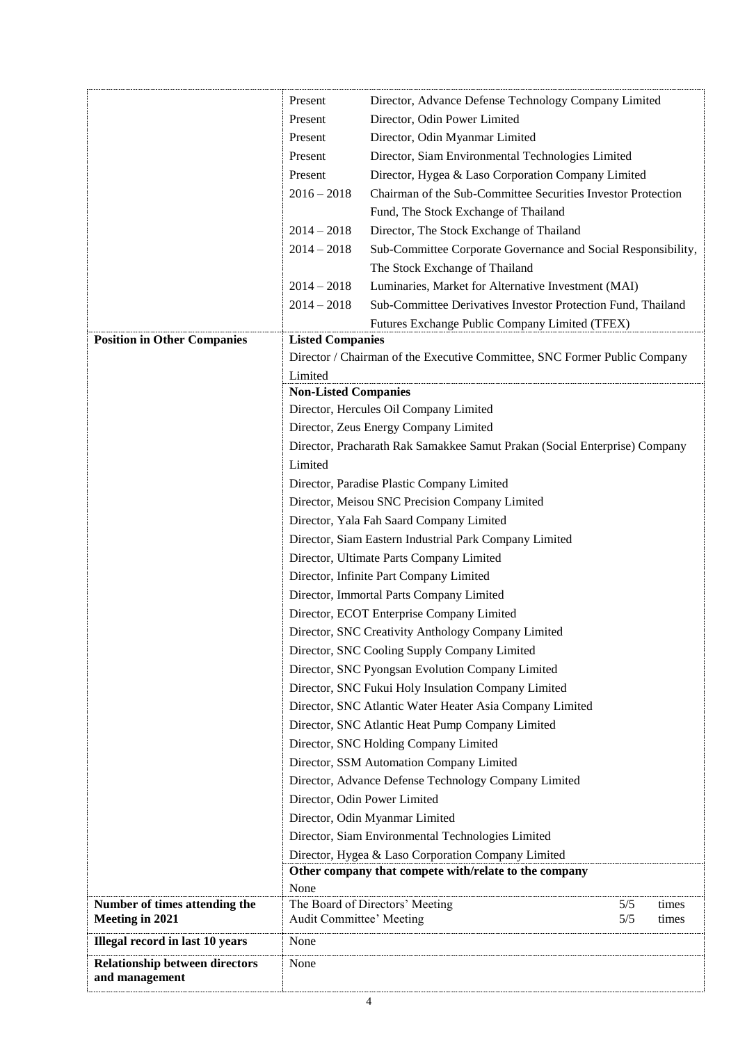|                                       | Present                                                                                                     | Director, Advance Defense Technology Company Limited                       |  |
|---------------------------------------|-------------------------------------------------------------------------------------------------------------|----------------------------------------------------------------------------|--|
|                                       | Present                                                                                                     | Director, Odin Power Limited                                               |  |
|                                       | Present                                                                                                     | Director, Odin Myanmar Limited                                             |  |
|                                       | Present                                                                                                     | Director, Siam Environmental Technologies Limited                          |  |
|                                       | Present                                                                                                     |                                                                            |  |
|                                       |                                                                                                             | Director, Hygea & Laso Corporation Company Limited                         |  |
|                                       | $2016 - 2018$                                                                                               | Chairman of the Sub-Committee Securities Investor Protection               |  |
|                                       |                                                                                                             | Fund, The Stock Exchange of Thailand                                       |  |
|                                       | $2014 - 2018$                                                                                               | Director, The Stock Exchange of Thailand                                   |  |
|                                       | $2014 - 2018$                                                                                               | Sub-Committee Corporate Governance and Social Responsibility,              |  |
|                                       |                                                                                                             | The Stock Exchange of Thailand                                             |  |
|                                       | $2014 - 2018$                                                                                               | Luminaries, Market for Alternative Investment (MAI)                        |  |
|                                       | $2014 - 2018$                                                                                               | Sub-Committee Derivatives Investor Protection Fund, Thailand               |  |
|                                       |                                                                                                             | Futures Exchange Public Company Limited (TFEX)                             |  |
| <b>Position in Other Companies</b>    | <b>Listed Companies</b>                                                                                     |                                                                            |  |
|                                       |                                                                                                             | Director / Chairman of the Executive Committee, SNC Former Public Company  |  |
|                                       | Limited                                                                                                     |                                                                            |  |
|                                       | <b>Non-Listed Companies</b>                                                                                 |                                                                            |  |
|                                       |                                                                                                             | Director, Hercules Oil Company Limited                                     |  |
|                                       |                                                                                                             | Director, Zeus Energy Company Limited                                      |  |
|                                       |                                                                                                             | Director, Pracharath Rak Samakkee Samut Prakan (Social Enterprise) Company |  |
|                                       | Limited                                                                                                     |                                                                            |  |
|                                       |                                                                                                             | Director, Paradise Plastic Company Limited                                 |  |
|                                       |                                                                                                             | Director, Meisou SNC Precision Company Limited                             |  |
|                                       |                                                                                                             | Director, Yala Fah Saard Company Limited                                   |  |
|                                       |                                                                                                             | Director, Siam Eastern Industrial Park Company Limited                     |  |
|                                       |                                                                                                             | Director, Ultimate Parts Company Limited                                   |  |
|                                       |                                                                                                             | Director, Infinite Part Company Limited                                    |  |
|                                       |                                                                                                             | Director, Immortal Parts Company Limited                                   |  |
|                                       |                                                                                                             | Director, ECOT Enterprise Company Limited                                  |  |
|                                       |                                                                                                             | Director, SNC Creativity Anthology Company Limited                         |  |
|                                       |                                                                                                             | Director, SNC Cooling Supply Company Limited                               |  |
|                                       |                                                                                                             | Director, SNC Pyongsan Evolution Company Limited                           |  |
|                                       |                                                                                                             | Director, SNC Fukui Holy Insulation Company Limited                        |  |
|                                       |                                                                                                             | Director, SNC Atlantic Water Heater Asia Company Limited                   |  |
|                                       |                                                                                                             | Director, SNC Atlantic Heat Pump Company Limited                           |  |
|                                       |                                                                                                             | Director, SNC Holding Company Limited                                      |  |
|                                       |                                                                                                             | Director, SSM Automation Company Limited                                   |  |
|                                       |                                                                                                             | Director, Advance Defense Technology Company Limited                       |  |
|                                       |                                                                                                             | Director, Odin Power Limited                                               |  |
|                                       |                                                                                                             | Director, Odin Myanmar Limited                                             |  |
|                                       |                                                                                                             | Director, Siam Environmental Technologies Limited                          |  |
|                                       |                                                                                                             |                                                                            |  |
|                                       | Director, Hygea & Laso Corporation Company Limited<br>Other company that compete with/relate to the company |                                                                            |  |
|                                       | None                                                                                                        |                                                                            |  |
| Number of times attending the         |                                                                                                             | The Board of Directors' Meeting<br>5/5<br>times                            |  |
| <b>Meeting in 2021</b>                | Audit Committee' Meeting                                                                                    | 5/5<br>times                                                               |  |
| Illegal record in last 10 years       | None                                                                                                        |                                                                            |  |
| <b>Relationship between directors</b> | None                                                                                                        |                                                                            |  |
| and management                        |                                                                                                             |                                                                            |  |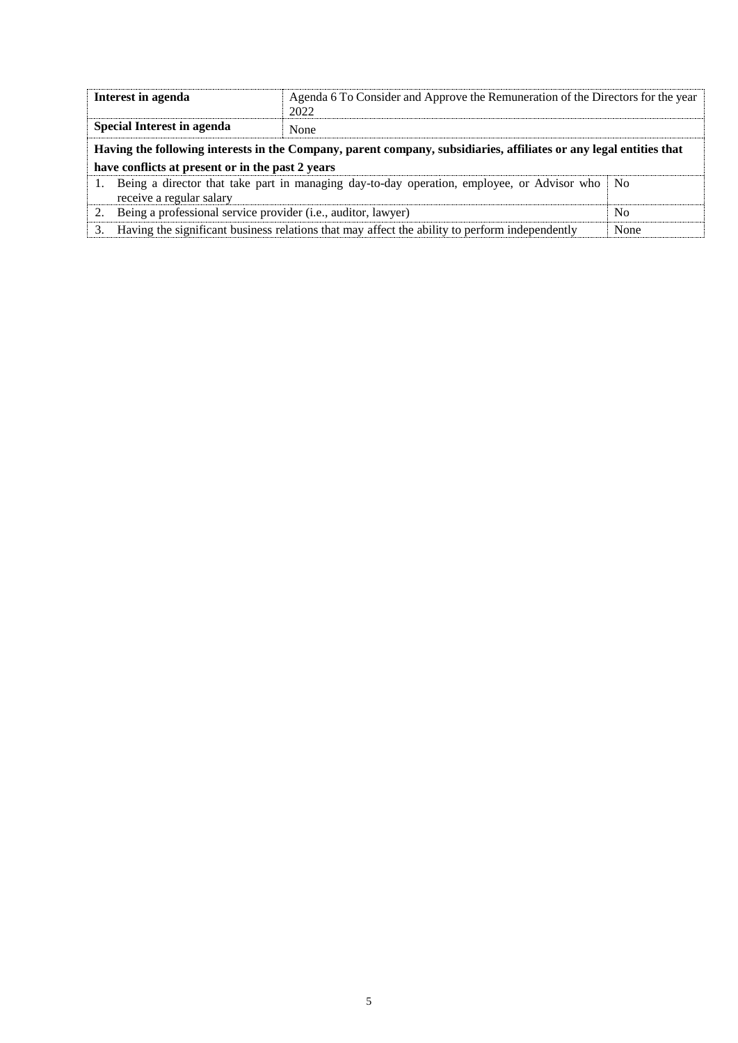| Interest in agenda                                                                                                        | Agenda 6 To Consider and Approve the Remuneration of the Directors for the year<br>2022        |                |  |  |
|---------------------------------------------------------------------------------------------------------------------------|------------------------------------------------------------------------------------------------|----------------|--|--|
| <b>Special Interest in agenda</b>                                                                                         | None                                                                                           |                |  |  |
| Having the following interests in the Company, parent company, subsidiaries, affiliates or any legal entities that        |                                                                                                |                |  |  |
| have conflicts at present or in the past 2 years                                                                          |                                                                                                |                |  |  |
| Being a director that take part in managing day-to-day operation, employee, or Advisor who No<br>receive a regular salary |                                                                                                |                |  |  |
| Being a professional service provider (i.e., auditor, lawyer)                                                             |                                                                                                | N <sub>0</sub> |  |  |
|                                                                                                                           | Having the significant business relations that may affect the ability to perform independently | None           |  |  |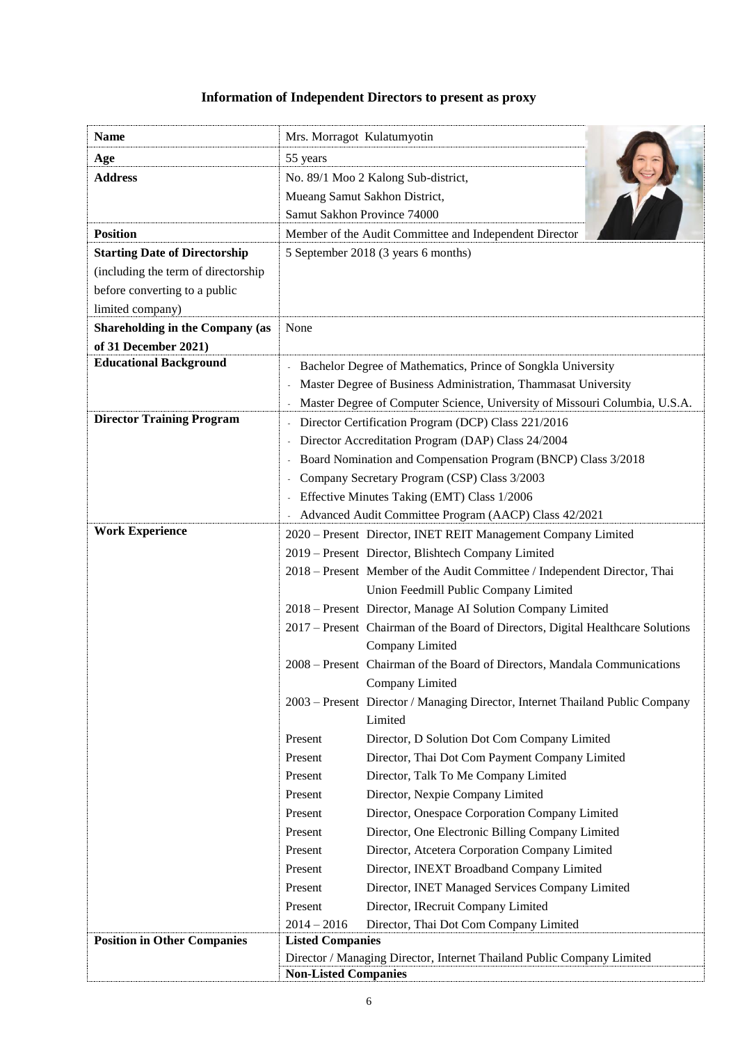## **Information of Independent Directors to present as proxy**

| <b>Name</b>                            | Mrs. Morragot Kulatumyotin                                                                        |                                                                                 |  |
|----------------------------------------|---------------------------------------------------------------------------------------------------|---------------------------------------------------------------------------------|--|
| Age                                    | 55 years                                                                                          |                                                                                 |  |
| <b>Address</b>                         | No. 89/1 Moo 2 Kalong Sub-district,                                                               |                                                                                 |  |
|                                        |                                                                                                   | Mueang Samut Sakhon District,                                                   |  |
|                                        | Samut Sakhon Province 74000                                                                       |                                                                                 |  |
| <b>Position</b>                        |                                                                                                   | Member of the Audit Committee and Independent Director                          |  |
| <b>Starting Date of Directorship</b>   |                                                                                                   | 5 September 2018 (3 years 6 months)                                             |  |
| (including the term of directorship    |                                                                                                   |                                                                                 |  |
| before converting to a public          |                                                                                                   |                                                                                 |  |
| limited company)                       |                                                                                                   |                                                                                 |  |
| <b>Shareholding in the Company (as</b> | None                                                                                              |                                                                                 |  |
| of 31 December 2021)                   |                                                                                                   |                                                                                 |  |
| <b>Educational Background</b>          |                                                                                                   | Bachelor Degree of Mathematics, Prince of Songkla University                    |  |
|                                        |                                                                                                   | Master Degree of Business Administration, Thammasat University                  |  |
|                                        |                                                                                                   | Master Degree of Computer Science, University of Missouri Columbia, U.S.A.      |  |
| <b>Director Training Program</b>       |                                                                                                   | Director Certification Program (DCP) Class 221/2016                             |  |
|                                        |                                                                                                   | Director Accreditation Program (DAP) Class 24/2004                              |  |
|                                        |                                                                                                   | Board Nomination and Compensation Program (BNCP) Class 3/2018                   |  |
|                                        |                                                                                                   | Company Secretary Program (CSP) Class 3/2003                                    |  |
|                                        |                                                                                                   | Effective Minutes Taking (EMT) Class 1/2006                                     |  |
|                                        |                                                                                                   | Advanced Audit Committee Program (AACP) Class 42/2021                           |  |
| <b>Work Experience</b>                 |                                                                                                   | 2020 - Present Director, INET REIT Management Company Limited                   |  |
|                                        |                                                                                                   | 2019 - Present Director, Blishtech Company Limited                              |  |
|                                        |                                                                                                   | 2018 – Present Member of the Audit Committee / Independent Director, Thai       |  |
|                                        |                                                                                                   | Union Feedmill Public Company Limited                                           |  |
|                                        |                                                                                                   | 2018 – Present Director, Manage AI Solution Company Limited                     |  |
|                                        |                                                                                                   | 2017 – Present Chairman of the Board of Directors, Digital Healthcare Solutions |  |
|                                        |                                                                                                   | Company Limited                                                                 |  |
|                                        |                                                                                                   | 2008 – Present Chairman of the Board of Directors, Mandala Communications       |  |
|                                        |                                                                                                   | Company Limited                                                                 |  |
|                                        |                                                                                                   | 2003 – Present Director / Managing Director, Internet Thailand Public Company   |  |
|                                        |                                                                                                   | Limited                                                                         |  |
|                                        | Present                                                                                           | Director, D Solution Dot Com Company Limited                                    |  |
|                                        | Present                                                                                           | Director, Thai Dot Com Payment Company Limited                                  |  |
|                                        | Present                                                                                           | Director, Talk To Me Company Limited                                            |  |
|                                        | Present                                                                                           | Director, Nexpie Company Limited                                                |  |
|                                        | Present                                                                                           | Director, Onespace Corporation Company Limited                                  |  |
|                                        | Present                                                                                           | Director, One Electronic Billing Company Limited                                |  |
|                                        | Present                                                                                           | Director, Atcetera Corporation Company Limited                                  |  |
|                                        | Present                                                                                           | Director, INEXT Broadband Company Limited                                       |  |
|                                        | Present                                                                                           | Director, INET Managed Services Company Limited                                 |  |
|                                        | Present                                                                                           | Director, IRecruit Company Limited                                              |  |
| <b>Position in Other Companies</b>     | $2014 - 2016$                                                                                     | Director, Thai Dot Com Company Limited                                          |  |
|                                        | <b>Listed Companies</b><br>Director / Managing Director, Internet Thailand Public Company Limited |                                                                                 |  |
|                                        | <b>Non-Listed Companies</b>                                                                       |                                                                                 |  |